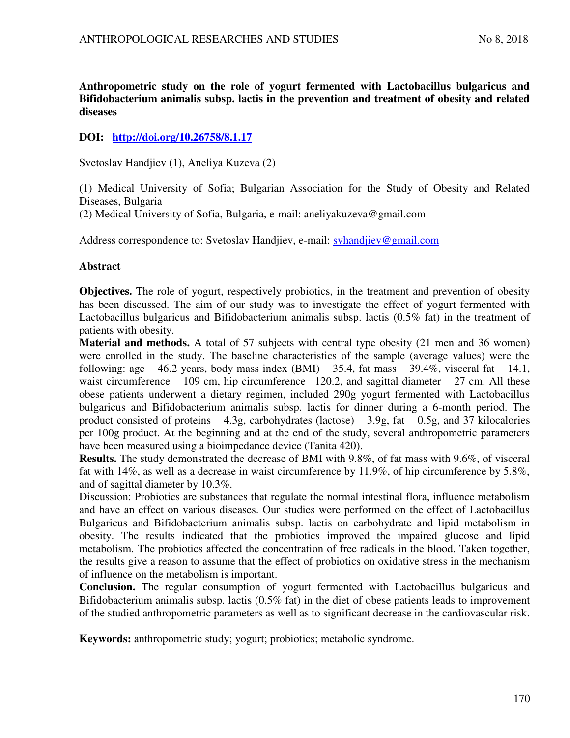**Anthropometric study on the role of yogurt fermented with Lactobacillus bulgaricus and Bifidobacterium animalis subsp. lactis in the prevention and treatment of obesity and related diseases** 

# **DOI: <http://doi.org/10.26758/8.1.17>**

Svetoslav Handjiev (1), Aneliya Kuzeva (2)

(1) Medical University of Sofia; Bulgarian Association for the Study of Obesity and Related Diseases, Bulgaria

(2) Medical University of Sofia, Bulgaria, e-mail: aneliyakuzeva@gmail.com

Address correspondence to: Svetoslav Handjiev, e-mail: [svhandjiev@gmail.com](mailto:svhandjiev@gmail.com)

### **Abstract**

**Objectives.** The role of yogurt, respectively probiotics, in the treatment and prevention of obesity has been discussed. The aim of our study was to investigate the effect of yogurt fermented with Lactobacillus bulgaricus and Bifidobacterium animalis subsp. lactis (0.5% fat) in the treatment of patients with obesity.

**Material and methods.** A total of 57 subjects with central type obesity (21 men and 36 women) were enrolled in the study. The baseline characteristics of the sample (average values) were the following: age  $-46.2$  years, body mass index (BMI)  $-35.4$ , fat mass  $-39.4\%$ , visceral fat  $-14.1$ , waist circumference  $-109$  cm, hip circumference  $-120.2$ , and sagittal diameter  $-27$  cm. All these obese patients underwent a dietary regimen, included 290g yogurt fermented with Lactobacillus bulgaricus and Bifidobacterium animalis subsp. lactis for dinner during a 6-month period. The product consisted of proteins  $-4.3g$ , carbohydrates (lactose)  $-3.9g$ , fat  $-0.5g$ , and 37 kilocalories per 100g product. At the beginning and at the end of the study, several anthropometric parameters have been measured using a bioimpedance device (Tanita 420).

**Results.** The study demonstrated the decrease of BMI with 9.8%, of fat mass with 9.6%, of visceral fat with 14%, as well as a decrease in waist circumference by 11.9%, of hip circumference by 5.8%, and of sagittal diameter by 10.3%.

Discussion: Probiotics are substances that regulate the normal intestinal flora, influence metabolism and have an effect on various diseases. Our studies were performed on the effect of Lactobacillus Bulgaricus and Bifidobacterium animalis subsp. lactis on carbohydrate and lipid metabolism in obesity. The results indicated that the probiotics improved the impaired glucose and lipid metabolism. The probiotics affected the concentration of free radicals in the blood. Taken together, the results give a reason to assume that the effect of probiotics on oxidative stress in the mechanism of influence on the metabolism is important.

**Conclusion.** The regular consumption of yogurt fermented with Lactobacillus bulgaricus and Bifidobacterium animalis subsp. lactis (0.5% fat) in the diet of obese patients leads to improvement of the studied anthropometric parameters as well as to significant decrease in the cardiovascular risk.

**Keywords:** anthropometric study; yogurt; probiotics; metabolic syndrome.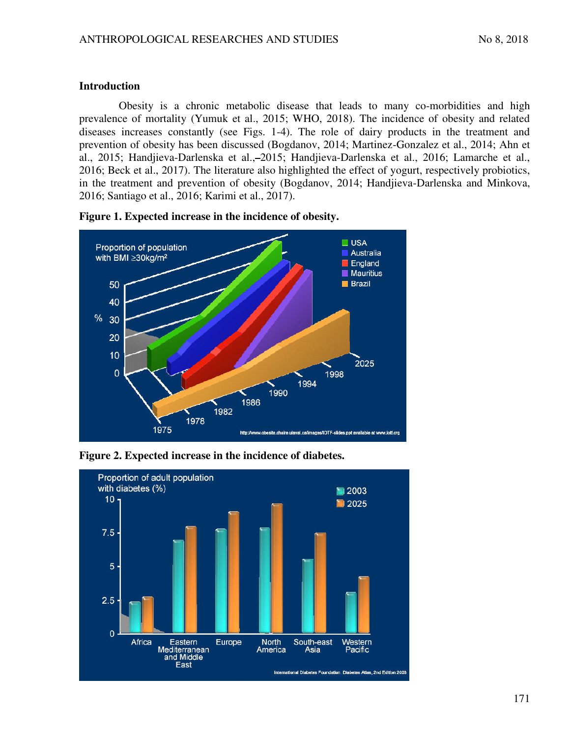### **Introduction**

Obesity is a chronic metabolic disease that leads to many co-morbidities and high prevalence of mortality (Yumuk et al., 2015; WHO, 2018). The incidence of obesity and related diseases increases constantly (see Figs. 1-4). The role of dairy products in the treatment and prevention of obesity has been discussed (Bogdanov, 2014; Martinez-Gonzalez et al., 2014; Ahn et al., 2015; Handjieva-Darlenska et al., 2015; Handjieva-Darlenska et al., 2016; Lamarche et al., 2016; Beck et al., 2017). The literature also highlighted the effect of yogurt, respectively probiotics, in the treatment and prevention of obesity (Bogdanov, 2014; Handjieva-Darlenska and Minkova, 2016; Santiago et al., 2016; Karimi et al., 2017).



**Figure 1. Expected increase in the incidence of obesity.** 

**Figure 2. Expected increase in the incidence of diabetes.** 

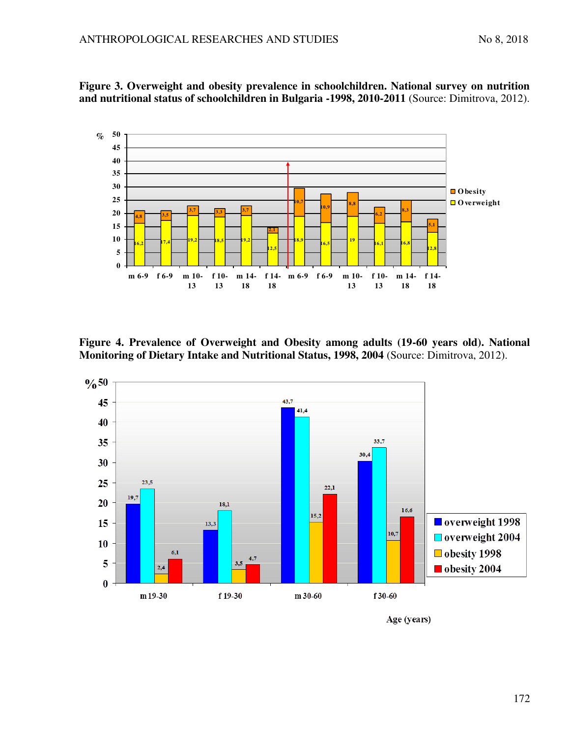

**Figure 3. Overweight and obesity prevalence in schoolchildren. National survey on nutrition and nutritional status of schoolchildren in Bulgaria -1998, 2010-2011** (Source: Dimitrova, 2012).

**Figure 4. Prevalence of Overweight and Obesity among adults (19-60 years old). National Monitoring of Dietary Intake and Nutritional Status, 1998, 2004** (Source: Dimitrova, 2012).



Age (years)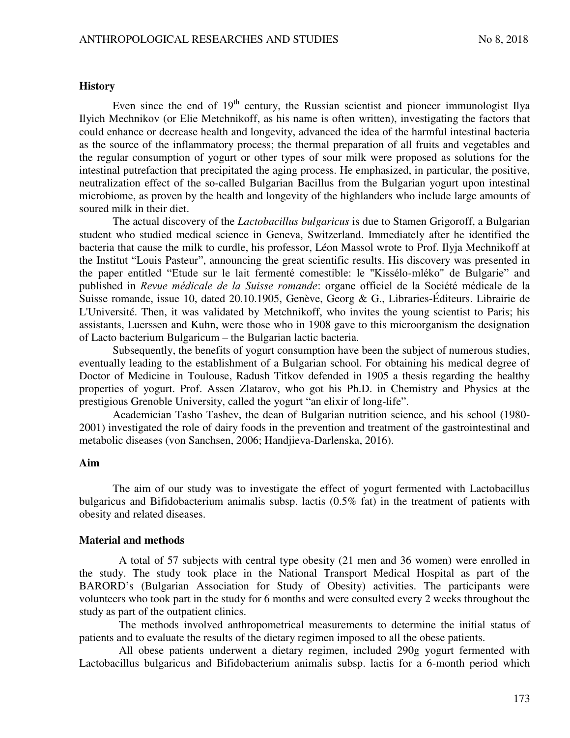#### **History**

Even since the end of  $19<sup>th</sup>$  century, the Russian scientist and pioneer immunologist Ilya Ilyich Mechnikov (or Elie Metchnikoff, as his name is often written), investigating the factors that could enhance or decrease health and longevity, advanced the idea of the harmful intestinal bacteria as the source of the inflammatory process; the thermal preparation of all fruits and vegetables and the regular consumption of yogurt or other types of sour milk were proposed as solutions for the intestinal putrefaction that precipitated the aging process. He emphasized, in particular, the positive, neutralization effect of the so-called Bulgarian Bacillus from the Bulgarian yogurt upon intestinal microbiome, as proven by the health and longevity of the highlanders who include large amounts of soured milk in their diet.

The actual discovery of the *Lactobacillus bulgaricus* is due to Stamen Grigoroff, a Bulgarian student who studied medical science in Geneva, Switzerland. Immediately after he identified the bacteria that cause the milk to curdle, his professor, Léon Massol wrote to Prof. Ilyja Mechnikoff at the Institut "Louis Pasteur", announcing the great scientific results. His discovery was presented in the paper entitled "Etude sur le lait fermenté comestible: le "Kissélo-mléko" de Bulgarie" and published in *Revue médicale de la Suisse romande*: organe officiel de la Société médicale de la Suisse romande, issue 10, dated 20.10.1905, Genève, Georg & G., Libraries-Éditeurs. Librairie de L'Université. Then, it was validated by Metchnikoff, who invites the young scientist to Paris; his assistants, Luerssen and Kuhn, were those who in 1908 gave to this microorganism the designation of Lacto bacterium Bulgaricum – the Bulgarian lactic bacteria.

Subsequently, the benefits of yogurt consumption have been the subject of numerous studies, eventually leading to the establishment of a Bulgarian school. For obtaining his medical degree of Doctor of Medicine in Toulouse, Radush Titkov defended in 1905 a thesis regarding the healthy properties of yogurt. Prof. Assen Zlatarov, who got his Ph.D. in Chemistry and Physics at the prestigious Grenoble University, called the yogurt "an elixir of long-life".

Academician Tasho Tashev, the dean of Bulgarian nutrition science, and his school (1980- 2001) investigated the role of dairy foods in the prevention and treatment of the gastrointestinal and metabolic diseases (von Sanchsen, 2006; Handjieva-Darlenska, 2016).

### **Aim**

The aim of our study was to investigate the effect of yogurt fermented with Lactobacillus bulgaricus and Bifidobacterium animalis subsp. lactis (0.5% fat) in the treatment of patients with obesity and related diseases.

#### **Material and methods**

A total of 57 subjects with central type obesity (21 men and 36 women) were enrolled in the study. The study took place in the National Transport Medical Hospital as part of the BARORD's (Bulgarian Association for Study of Obesity) activities. The participants were volunteers who took part in the study for 6 months and were consulted every 2 weeks throughout the study as part of the outpatient clinics.

The methods involved anthropometrical measurements to determine the initial status of patients and to evaluate the results of the dietary regimen imposed to all the obese patients.

All obese patients underwent a dietary regimen, included 290g yogurt fermented with Lactobacillus bulgaricus and Bifidobacterium animalis subsp. lactis for a 6-month period which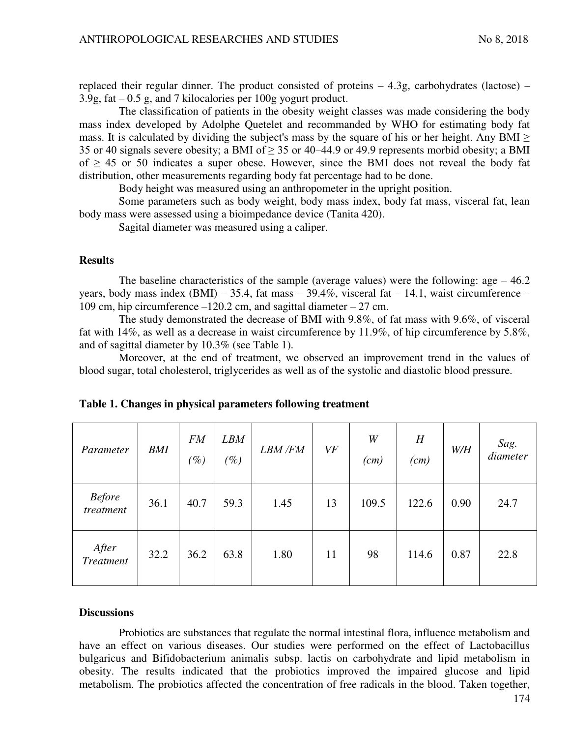replaced their regular dinner. The product consisted of proteins  $-4.3$ g, carbohydrates (lactose) – 3.9g, fat – 0.5 g, and 7 kilocalories per 100g yogurt product.

The classification of patients in the obesity weight classes was made considering the body mass index developed by Adolphe Quetelet and recommanded by WHO for estimating body fat mass. It is calculated by dividing the subject's mass by the square of his or her height. Any BMI  $\geq$ 35 or 40 signals severe obesity; a BMI of  $> 35$  or 40–44.9 or 49.9 represents morbid obesity; a BMI of  $\geq$  45 or 50 indicates a super obese. However, since the BMI does not reveal the body fat distribution, other measurements regarding body fat percentage had to be done.

Body height was measured using an anthropometer in the upright position.

Some parameters such as body weight, body mass index, body fat mass, visceral fat, lean body mass were assessed using a bioimpedance device (Tanita 420).

Sagital diameter was measured using a caliper.

#### **Results**

The baseline characteristics of the sample (average values) were the following:  $\text{age} - 46.2$ years, body mass index (BMI) – 35.4, fat mass – 39.4%, visceral fat – 14.1, waist circumference – 109 cm, hip circumference –120.2 cm, and sagittal diameter – 27 cm.

The study demonstrated the decrease of BMI with 9.8%, of fat mass with 9.6%, of visceral fat with 14%, as well as a decrease in waist circumference by 11.9%, of hip circumference by 5.8%, and of sagittal diameter by 10.3% (see Table 1).

Moreover, at the end of treatment, we observed an improvement trend in the values of blood sugar, total cholesterol, triglycerides as well as of the systolic and diastolic blood pressure.

| Parameter                  | <b>BMI</b> | <b>FM</b><br>$(\%)$ | <b>LBM</b><br>$(\%)$ | <b>LBM/FM</b> | VF | W<br>(cm) | H<br>(cm) | W/H  | Sag.<br>diameter |
|----------------------------|------------|---------------------|----------------------|---------------|----|-----------|-----------|------|------------------|
| <b>Before</b><br>treatment | 36.1       | 40.7                | 59.3                 | 1.45          | 13 | 109.5     | 122.6     | 0.90 | 24.7             |
| After<br><b>Treatment</b>  | 32.2       | 36.2                | 63.8                 | 1.80          | 11 | 98        | 114.6     | 0.87 | 22.8             |

|  |  |  | Table 1. Changes in physical parameters following treatment |  |
|--|--|--|-------------------------------------------------------------|--|
|  |  |  |                                                             |  |

#### **Discussions**

Probiotics are substances that regulate the normal intestinal flora, influence metabolism and have an effect on various diseases. Our studies were performed on the effect of Lactobacillus bulgaricus and Bifidobacterium animalis subsp. lactis on carbohydrate and lipid metabolism in obesity. The results indicated that the probiotics improved the impaired glucose and lipid metabolism. The probiotics affected the concentration of free radicals in the blood. Taken together,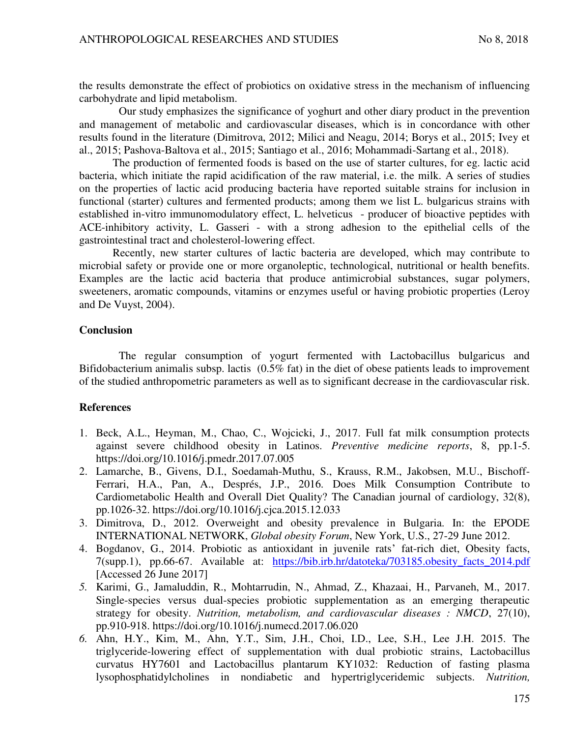the results demonstrate the effect of probiotics on oxidative stress in the mechanism of influencing carbohydrate and lipid metabolism.

Our study emphasizes the significance of yoghurt and other diary product in the prevention and management of metabolic and cardiovascular diseases, which is in concordance with other results found in the literature (Dimitrova, 2012; Milici and Neagu, 2014; Borys et al., 2015; Ivey et al., 2015; Pashova-Baltova et al., 2015; Santiago et al., 2016; Mohammadi-Sartang et al., 2018).

The production of fermented foods is based on the use of starter cultures, for eg. lactic acid bacteria, which initiate the rapid acidification of the raw material, i.e. the milk. A series of studies on the properties of lactic acid producing bacteria have reported suitable strains for inclusion in functional (starter) cultures and fermented products; among them we list L. bulgaricus strains with established in-vitro immunomodulatory effect, L. helveticus - producer of bioactive peptides with ACE-inhibitory activity, L. Gasseri - with a strong adhesion to the epithelial cells of the gastrointestinal tract and cholesterol-lowering effect.

Recently, new starter cultures of lactic bacteria are developed, which may contribute to microbial safety or provide one or more organoleptic, technological, nutritional or health benefits. Examples are the lactic acid bacteria that produce antimicrobial substances, sugar polymers, sweeteners, aromatic compounds, vitamins or enzymes useful or having probiotic properties (Leroy and De Vuyst, 2004).

## **Conclusion**

The regular consumption of yogurt fermented with Lactobacillus bulgaricus and Bifidobacterium animalis subsp. lactis (0.5% fat) in the diet of obese patients leads to improvement of the studied anthropometric parameters as well as to significant decrease in the cardiovascular risk.

# **References**

- 1. Beck, A.L., Heyman, M., Chao, C., Wojcicki, J., 2017. Full fat milk consumption protects against severe childhood obesity in Latinos. *Preventive medicine reports*, 8, pp.1-5. https://doi.org/10.1016/j.pmedr.2017.07.005
- 2. Lamarche, B., Givens, D.I., Soedamah-Muthu, S., Krauss, R.M., Jakobsen, M.U., Bischoff-Ferrari, H.A., Pan, A., Després, J.P., 2016. Does Milk Consumption Contribute to Cardiometabolic Health and Overall Diet Quality? The Canadian journal of cardiology, 32(8), pp.1026-32. https://doi.org/10.1016/j.cjca.2015.12.033
- 3. Dimitrova, D., 2012. Overweight and obesity prevalence in Bulgaria. In: the EPODE INTERNATIONAL NETWORK, *Global obesity Forum*, New York, U.S., 27-29 June 2012.
- 4. Bogdanov, G., 2014. Probiotic as antioxidant in juvenile rats' fat-rich diet, Obesity facts, 7(supp.1), pp.66-67. Available at: [https://bib.irb.hr/datoteka/703185.obesity\\_facts\\_2014.pdf](https://bib.irb.hr/datoteka/703185.obesity_facts_2014.pdf) [Accessed 26 June 2017]
- *5.* Karimi, G., Jamaluddin, R., Mohtarrudin, N., Ahmad, Z., Khazaai, H., Parvaneh, M., 2017. Single-species versus dual-species probiotic supplementation as an emerging therapeutic strategy for obesity. *Nutrition, metabolism, and cardiovascular diseases : NMCD*, 27(10), pp.910-918. https://doi.org/10.1016/j.numecd.2017.06.020
- *6.* Ahn, H.Y., Kim, M., Ahn, Y.T., Sim, J.H., Choi, I.D., Lee, S.H., Lee J.H. 2015. The triglyceride-lowering effect of supplementation with dual probiotic strains, Lactobacillus curvatus HY7601 and Lactobacillus plantarum KY1032: Reduction of fasting plasma lysophosphatidylcholines in nondiabetic and hypertriglyceridemic subjects. *Nutrition,*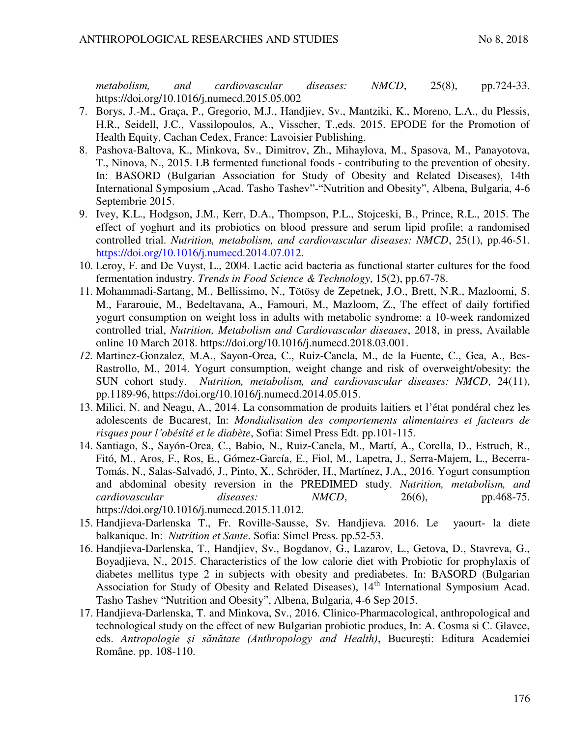*metabolism, and cardiovascular diseases: NMCD*, 25(8), pp.724-33. https://doi.org/10.1016/j.numecd.2015.05.002

- 7. Borys, J.-M., Graça, P., Gregorio, M.J., Handjiev, Sv., Mantziki, K., Moreno, L.A., du Plessis, H.R., Seidell, J.C., Vassilopoulos, A., Visscher, T.,eds. 2015. EPODE for the Promotion of Health Equity, Cachan Cedex, France: Lavoisier Publishing.
- 8. Pashova-Baltova, K., Minkova, Sv., Dimitrov, Zh., Mihaylova, M., Spasova, M., Panayotova, T., Ninova, N., 2015. LB fermented functional foods - contributing to the prevention of obesity. In: BASORD (Bulgarian Association for Study of Obesity and Related Diseases), 14th International Symposium "Acad. Tasho Tashev"-"Nutrition and Obesity", Albena, Bulgaria, 4-6 Septembrie 2015.
- 9. Ivey, K.L., Hodgson, J.M., Kerr, D.A., Thompson, P.L., Stojceski, B., Prince, R.L., 2015. The effect of yoghurt and its probiotics on blood pressure and serum lipid profile; a randomised controlled trial. *Nutrition, metabolism, and cardiovascular diseases: NMCD*, 25(1), pp.46-51. [https://doi.org/10.1016/j.numecd.2014.07.012.](https://doi.org/10.1016/j.numecd.2014.07.012)
- 10. Leroy, F. and De Vuyst, L., 2004. Lactic acid bacteria as functional starter cultures for the food fermentation industry. *Trends in Food Science & Technology*, 15(2), pp.67-78.
- 11. Mohammadi-Sartang, M., Bellissimo, N., Tötösy de Zepetnek, J.O., Brett, N.R., Mazloomi, S. M., Fararouie, M., Bedeltavana, A., Famouri, M., Mazloom, Z., The effect of daily fortified yogurt consumption on weight loss in adults with metabolic syndrome: a 10-week randomized controlled trial, *Nutrition, Metabolism and Cardiovascular diseases*, 2018, in press, Available online 10 March 2018. https://doi.org/10.1016/j.numecd.2018.03.001.
- *12.* Martinez-Gonzalez, M.A., Sayon-Orea, C., Ruiz-Canela, M., de la Fuente, C., Gea, A., Bes-Rastrollo, M., 2014. Yogurt consumption, weight change and risk of overweight/obesity: the SUN cohort study. *Nutrition, metabolism, and cardiovascular diseases: NMCD*, 24(11), pp.1189-96, https://doi.org/10.1016/j.numecd.2014.05.015.
- 13. Milici, N. and Neagu, A., 2014. La consommation de produits laitiers et l'état pondéral chez les adolescents de Bucarest, In: *Mondialisation des comportements alimentaires et facteurs de risques pour l'obésité et le diabète*, Sofia: Simel Press Edt. pp.101-115.
- 14. Santiago, S., Sayón-Orea, C., Babio, N., Ruiz-Canela, M., Martí, A., Corella, D., Estruch, R., Fitó, M., Aros, F., Ros, E., Gómez-García, E., Fiol, M., Lapetra, J., Serra-Majem, L., Becerra-Tomás, N., Salas-Salvadó, J., Pinto, X., Schröder, H., Martínez, J.A., 2016. Yogurt consumption and abdominal obesity reversion in the PREDIMED study. *Nutrition, metabolism, and cardiovascular diseases: NMCD*, 26(6), pp.468-75. https://doi.org/10.1016/j.numecd.2015.11.012.
- 15. Handjieva-Darlenska T., Fr. Roville-Sausse, Sv. Handjieva. 2016. Le yaourt- la diete balkanique. In: *Nutrition et Sante*. Sofia: Simel Press. pp.52-53.
- 16. Handjieva-Darlenska, T., Handjiev, Sv., Bogdanov, G., Lazarov, L., Getova, D., Stavreva, G., Boyadjieva, N., 2015. Characteristics of the low calorie diet with Probiotic for prophylaxis of diabetes mellitus type 2 in subjects with obesity and prediabetes. In: BASORD (Bulgarian Association for Study of Obesity and Related Diseases),  $14<sup>th</sup>$  International Symposium Acad. Tasho Tashev "Nutrition and Obesity", Albena, Bulgaria, 4-6 Sep 2015.
- 17. Handjieva-Darlenska, T. and Minkova, Sv., 2016. Clinico-Pharmacological, anthropological and technological study on the effect of new Bulgarian probiotic producs, In: A. Cosma si C. Glavce, eds. *Antropologie şi sănătate (Anthropology and Health)*, Bucureşti: Editura Academiei Române. pp. 108-110.